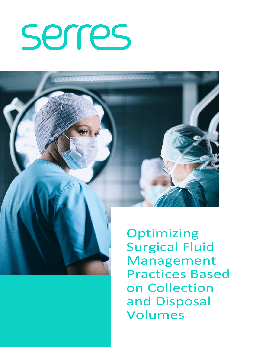# serres



**Optimizing** Surgical Fluid Management Practices Based on Collection and Disposal Volumes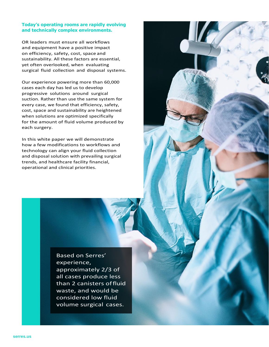#### **Today's operating rooms are rapidly evolving and technically complex environments.**

OR leaders must ensure all workflows and equipment have a positive impact on efficiency, safety, cost, space and sustainability. All these factors are essential, yet often overlooked, when evaluating surgical fluid collection and disposal systems.

Our experience powering more than 60,000 cases each day has led us to develop progressive solutions around surgical suction. Rather than use the same system for every case, we found that efficiency, safety, cost, space and sustainability are heightened when solutions are optimized specifically for the amount of fluid volume produced by each surgery.

In this white paper we will demonstrate how a few modifications to workflows and technology can align your fluid collection and disposal solution with prevailing surgical trends, and healthcare facility financial, operational and clinical priorities.

> Based on Serres' experience, approximately 2/3 of all cases produce less than 2 canisters offluid waste, and would be considered low fluid volume surgical cases.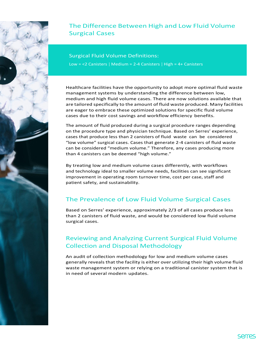

## The Difference Between High and Low Fluid Volume Surgical Cases

Surgical Fluid Volume Definitions: Low = <2 Canisters | Medium = 2-4 Canisters | High = 4+ Canisters

Healthcare facilities have the opportunity to adopt more optimal fluid waste management systems by understanding the difference between low, medium and high fluid volume cases. There are now solutions available that are tailored specifically to the amount of fluid waste produced. Many facilities are eager to embrace these optimized solutions for specific fluid volume cases due to their cost savings and workflow efficiency benefits.

The amount of fluid produced during a surgical procedure ranges depending on the procedure type and physician technique. Based on Serres' experience, cases that produce less than 2 canisters of fluid waste can be considered "low volume" surgical cases. Cases that generate 2-4 canisters of fluid waste can be considered "medium volume." Therefore, any cases producing more than 4 canisters can be deemed "high volume."

By treating low and medium volume cases differently, with workflows and technology ideal to smaller volume needs, facilities can see significant improvement in operating room turnover time, cost per case, staff and patient safety, and sustainability.

# The Prevalence of Low Fluid Volume Surgical Cases

Based on Serres' experience, approximately 2/3 of all cases produce less than 2 canisters of fluid waste, and would be considered low fluid volume surgical cases.

#### Reviewing and Analyzing Current Surgical Fluid Volume Collection and Disposal Methodology

An audit of collection methodology for low and medium volume cases generally reveals that the facility is either over utilizing their high volume fluid waste management system or relying on a traditional canister system that is in need of several modern updates.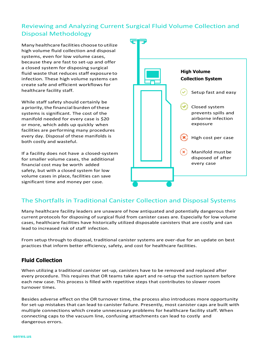### Reviewing and Analyzing Current Surgical Fluid Volume Collection and Disposal Methodology

Many healthcare facilities choose to utilize high volume fluid collection and disposal systems, even for low volume cases, because they are fast to set-up and offer a closed system for disposing surgical fluid waste that reduces staff exposure to infection. These high volume systems can create safe and efficient workflows for healthcare facility staff.

While staff safety should certainly be a priority, the financial burden of these systems is significant. The cost of the manifold needed for every case is \$20 or more, which adds up quickly when facilities are performing many procedures every day. Disposal of these manifolds is both costly and wasteful.

If a facility does not have a closed-system for smaller volume cases, the additional financial cost may be worth added safety, but with a closed system for low volume cases in place, facilities can save significant time and money per case.



#### The Shortfalls in Traditional Canister Collection and Disposal Systems

Many healthcare facility leaders are unaware of how antiquated and potentially dangerous their current protocols for disposing of surgical fluid from canister cases are. Especially for low volume cases, healthcare facilities have historically utilized disposable canisters that are costly and can lead to increased risk of staff infection.

From setup through to disposal, traditional canister systems are over-due for an update on best practices that inform better efficiency, safety, and cost for healthcare facilities.

#### **Fluid Collection**

When utilizing a traditional canister set-up, canisters have to be removed and replaced after every procedure. This requires that OR teams take apart and re-setup the suction system before each new case. This process is filled with repetitive steps that contributes to slower room turnover times.

Besides adverse effect on the OR turnover time, the process also introduces more opportunity for set-up mistakes that can lead to canister failure. Presently, most canister caps are built with multiple connections which create unnecessary problems for healthcare facility staff. When connecting caps to the vacuum line, confusing attachments can lead to costly and dangerous errors.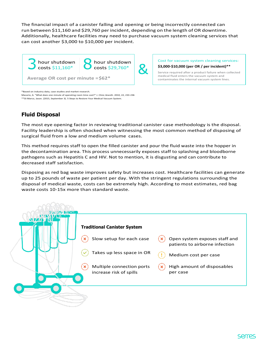The financial impact of a canister falling and opening or being incorrectly connected can run between \$11,160 and \$29,760 per incident, depending on the length of OR downtime. Additionally, healthcare facilities may need to purchase vacuum system cleaning services that can cost another \$3,000 to \$10,000 per incident.



Cost for vacuum system cleaning services: **\$3,000-\$10,000 (per OR / per incident)\*\***

Service required after a product failure when collected medical fluid enters the vacuum system and contaminates the internal vacuum system lines.

\*Based on industry data, case studies and market research.

Macario, A. "What does one minute of operating room time cost?" J. Clinic Anesth. 2010, 22, 233-236 \*\*Di Marco, Jason. (2015, September 3). 5 Steps to Restore Your Medical Vacuum System.

#### **Fluid Disposal**

The most eye opening factor in reviewing traditional canister case methodology is the disposal. Facility leadership is often shocked when witnessing the most common method of disposing of surgical fluid from a low and medium volume cases.

This method requires staff to open the filled canister and pour the fluid waste into the hopper in the decontamination area. This process unnecessarily exposes staff to splashing and bloodborne pathogens such as Hepatitis C and HIV. Not to mention, it is disgusting and can contribute to decreased staff satisfaction.

Disposing as red bag waste improves safety but increases cost. Healthcare facilities can generate up to 25 pounds of waste per patient per day. With the stringent regulations surrounding the disposal of medical waste, costs can be extremely high. According to most estimates, red bag waste costs 10-15x more than standard waste.

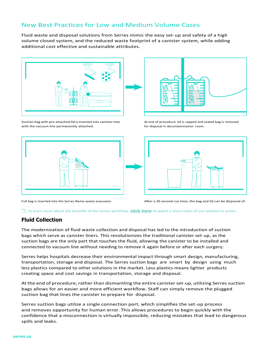#### New Best Practices for Low and Medium Volume Cases

Fluid waste and disposal solutions from Serres mimic the easy set-up and safety of a high volume closed system, and the reduced waste footprint of a canister system, while adding additional cost effective and sustainable attributes.



Suction bag with pre-attached lid is inserted into canister tree with the vacuum line permanently attached.



Full bag is inserted into the Serres Nemo waste evacuator.



At end of procedure, lid is capped and sealed bag is removed for disposal in decontamination room.



After a 20 second run time, the bag and lid can be disposed of.

#### To learn more about the benefits of the Serres workflow, **click here** to watch a short video of our solution in action.

#### **Fluid Collection**

The modernization of fluid waste collection and disposal has led to the introduction of suction bags which serve as canister liners. This revolutionizes the traditional canister set-up, as the suction bags are the only part that touches the fluid, allowing the canister to be installed and connected to vacuum line without needing to remove it again before or after each surgery.

Serres helps hospitals decrease their environmental impact through smart design, manufacturing, transportation, storage and disposal. The Serres suction bags are smart by design using much less plastics compared to other solutions in the market. Less plastics means lighter products creating space and cost savings in transportation, storage and disposal.

At the end of procedure, rather than dismantling the entire canister set-up, utilizing Serres suction bags allows for an easier and more efficient workflow. Staff can simply remove the plugged suction bag that lines the canister to prepare for disposal.

Serres suction bags utilize a single connection port, which simplifies the set-up process and removes opportunity for human error. This allows procedures to begin quickly with the confidence that a misconnection is virtually impossible, reducing mistakes that lead to dangerous spills and leaks.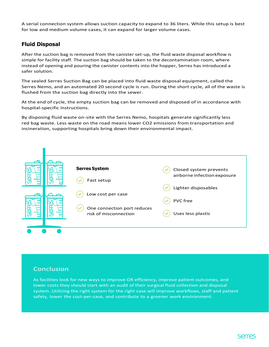A serial connection system allows suction capacity to expand to 36 liters. While this setup is best for low and medium volume cases, it can expand for larger volume cases.

#### **Fluid Disposal**

After the suction bag is removed from the canister set-up, the fluid waste disposal workflow is simple for facility staff. The suction bag should be taken to the decontamination room, where instead of opening and pouring the canister contents into the hopper, Serres has introduced a safer solution.

The sealed Serres Suction Bag can be placed into fluid waste disposal equipment, called the Serres Nemo, and an automated 20 second cycle is run. During the short cycle, all of the waste is flushed from the suction bag directly into the sewer.

At the end of cycle, the empty suction bag can be removed and disposed of in accordance with hospital-specific instructions.

By disposing fluid waste on-site with the Serres Nemo, hospitals generate significantly less red bag waste. Less waste on the road means lower CO2 emissions from transportation and incineration, supporting hospitals bring down their environmental impact.

|  | <b>Serres System</b>        | Closed system prevents      |
|--|-----------------------------|-----------------------------|
|  | Fast setup                  | airborne infection exposure |
|  | Low cost per case           | Lighter disposables         |
|  | One connection port reduces | <b>PVC</b> free             |
|  | risk of misconnection       | Uses less plastic           |
|  |                             |                             |

#### Conclusion

As facilities look for new ways to improve OR efficiency, improve patient outcomes, and lower costs they should start with an audit of their surgical fluid collection and disposal system. Utilizing the right system for the right case will improve workflows, staff and patient safety, lower the cost-per-case, and contribute to a greener work environment.